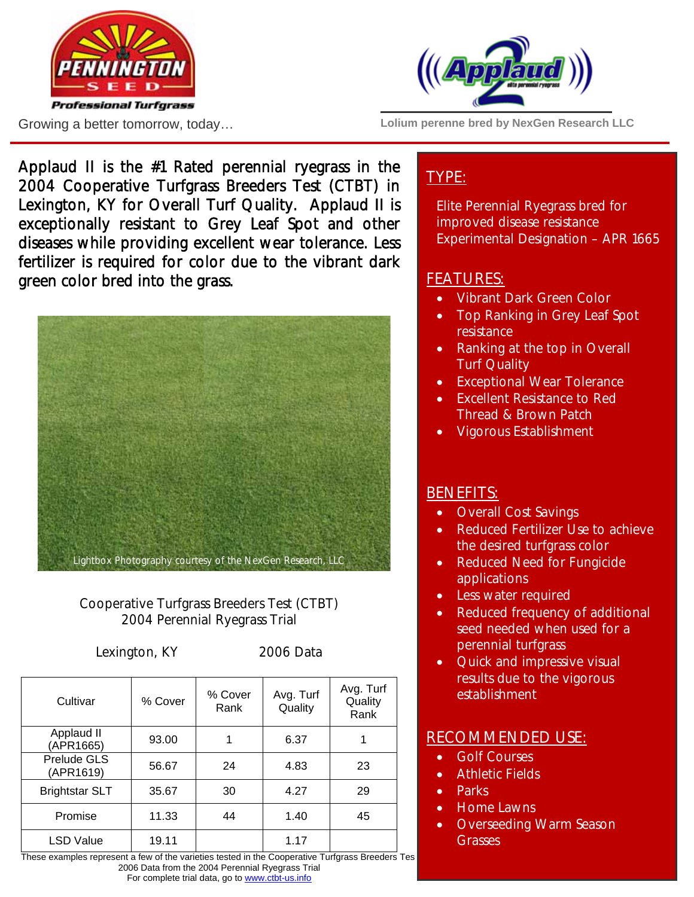





**Lolium perenne bred by NexGen Research LLC** 

Applaud II is the #1 Rated perennial ryegrass in the 2004 Cooperative Turfgrass Breeders Test (CTBT) in Lexington, KY for Overall Turf Quality. Applaud II is exceptionally resistant to Grey Leaf Spot and other diseases while providing excellent wear tolerance. Less fertilizer is required for color due to the vibrant dark green color bred into the grass.



### Cooperative Turfgrass Breeders Test (CTBT) 2004 Perennial Ryegrass Trial

Lexington, KY 2006 Data

| Cultivar                 | % Cover | % Cover<br>Rank | Avg. Turf<br>Quality | Avg. Turf<br>Quality<br>Rank |
|--------------------------|---------|-----------------|----------------------|------------------------------|
| Applaud II<br>(APR1665)  | 93.00   |                 | 6.37                 |                              |
| Prelude GLS<br>(APR1619) | 56.67   | 24              | 4.83                 | 23                           |
| <b>Brightstar SLT</b>    | 35.67   | 30              | 4.27                 | 29                           |
| Promise                  | 11.33   | 44              | 1.40                 | 45                           |
| <b>LSD Value</b>         | 19.11   |                 | 1.17                 |                              |

These examples represent a few of the varieties tested in the Cooperative Turfgrass Breeders Tes 2006 Data from the 2004 Perennial Ryegrass Trial For complete trial data, go to www.ctbt-us.info

# TYPE:

Elite Perennial Ryegrass bred for improved disease resistance Experimental Designation – APR 1665

### FEATURES:

- Vibrant Dark Green Color
- Top Ranking in Grey Leaf Spot resistance
- Ranking at the top in Overall Turf Quality
- Exceptional Wear Tolerance
- Excellent Resistance to Red Thread & Brown Patch
- Vigorous Establishment

### BENEFITS:

- Overall Cost Savings
- Reduced Fertilizer Use to achieve the desired turfgrass color
- Reduced Need for Fungicide applications
- Less water required
- Reduced frequency of additional seed needed when used for a perennial turfgrass
- Quick and impressive visual results due to the vigorous establishment

### RECOMMENDED USE:

- Golf Courses
- Athletic Fields
- Parks
- Home Lawns
- Overseeding Warm Season Grasses